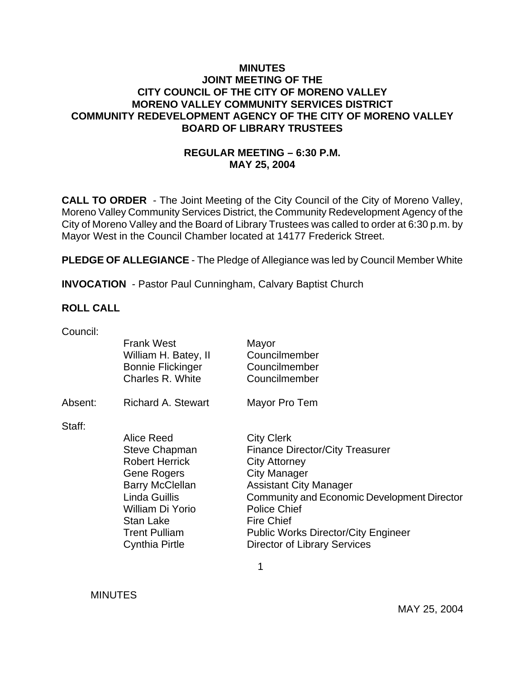### **MINUTES JOINT MEETING OF THE CITY COUNCIL OF THE CITY OF MORENO VALLEY MORENO VALLEY COMMUNITY SERVICES DISTRICT COMMUNITY REDEVELOPMENT AGENCY OF THE CITY OF MORENO VALLEY BOARD OF LIBRARY TRUSTEES**

## **REGULAR MEETING – 6:30 P.M. MAY 25, 2004**

**CALL TO ORDER** - The Joint Meeting of the City Council of the City of Moreno Valley, Moreno Valley Community Services District, the Community Redevelopment Agency of the City of Moreno Valley and the Board of Library Trustees was called to order at 6:30 p.m. by Mayor West in the Council Chamber located at 14177 Frederick Street.

**PLEDGE OF ALLEGIANCE** - The Pledge of Allegiance was led by Council Member White

**INVOCATION** - Pastor Paul Cunningham, Calvary Baptist Church

#### **ROLL CALL**

| Council: |                           |                                             |
|----------|---------------------------|---------------------------------------------|
|          | <b>Frank West</b>         | Mayor                                       |
|          | William H. Batey, II      | Councilmember                               |
|          | <b>Bonnie Flickinger</b>  | Councilmember                               |
|          | Charles R. White          | Councilmember                               |
|          |                           |                                             |
| Absent:  | <b>Richard A. Stewart</b> | Mayor Pro Tem                               |
|          |                           |                                             |
| Staff:   | Alice Reed                |                                             |
|          |                           | <b>City Clerk</b>                           |
|          | <b>Steve Chapman</b>      | <b>Finance Director/City Treasurer</b>      |
|          | <b>Robert Herrick</b>     | <b>City Attorney</b>                        |
|          | Gene Rogers               | <b>City Manager</b>                         |
|          | <b>Barry McClellan</b>    | <b>Assistant City Manager</b>               |
|          | Linda Guillis             | Community and Economic Development Director |
|          | William Di Yorio          | <b>Police Chief</b>                         |
|          | <b>Stan Lake</b>          | <b>Fire Chief</b>                           |
|          | <b>Trent Pulliam</b>      | <b>Public Works Director/City Engineer</b>  |
|          | Cynthia Pirtle            | <b>Director of Library Services</b>         |
|          |                           |                                             |

 $\sim$  1

**MINUTES**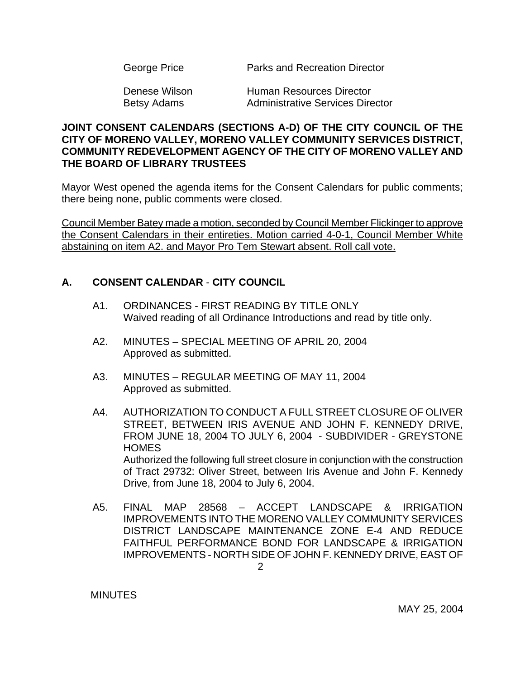| George Price | Parks and Recreation Director |
|--------------|-------------------------------|
|--------------|-------------------------------|

Denese Wilson **Human Resources Director** Betsy Adams **Administrative Services Director** 

### **JOINT CONSENT CALENDARS (SECTIONS A-D) OF THE CITY COUNCIL OF THE CITY OF MORENO VALLEY, MORENO VALLEY COMMUNITY SERVICES DISTRICT, COMMUNITY REDEVELOPMENT AGENCY OF THE CITY OF MORENO VALLEY AND THE BOARD OF LIBRARY TRUSTEES**

Mayor West opened the agenda items for the Consent Calendars for public comments; there being none, public comments were closed.

Council Member Batey made a motion, seconded by Council Member Flickinger to approve the Consent Calendars in their entireties. Motion carried 4-0-1, Council Member White abstaining on item A2. and Mayor Pro Tem Stewart absent. Roll call vote.

# **A. CONSENT CALENDAR** - **CITY COUNCIL**

- A1. ORDINANCES FIRST READING BY TITLE ONLY Waived reading of all Ordinance Introductions and read by title only.
- A2. MINUTES SPECIAL MEETING OF APRIL 20, 2004 Approved as submitted.
- A3. MINUTES REGULAR MEETING OF MAY 11, 2004 Approved as submitted.
- A4. AUTHORIZATION TO CONDUCT A FULL STREET CLOSURE OF OLIVER STREET, BETWEEN IRIS AVENUE AND JOHN F. KENNEDY DRIVE, FROM JUNE 18, 2004 TO JULY 6, 2004 - SUBDIVIDER - GREYSTONE **HOMES**  Authorized the following full street closure in conjunction with the construction of Tract 29732: Oliver Street, between Iris Avenue and John F. Kennedy Drive, from June 18, 2004 to July 6, 2004.
- A5. FINAL MAP 28568 ACCEPT LANDSCAPE & IRRIGATION IMPROVEMENTS INTO THE MORENO VALLEY COMMUNITY SERVICES DISTRICT LANDSCAPE MAINTENANCE ZONE E-4 AND REDUCE FAITHFUL PERFORMANCE BOND FOR LANDSCAPE & IRRIGATION IMPROVEMENTS - NORTH SIDE OF JOHN F. KENNEDY DRIVE, EAST OF

**MINUTES**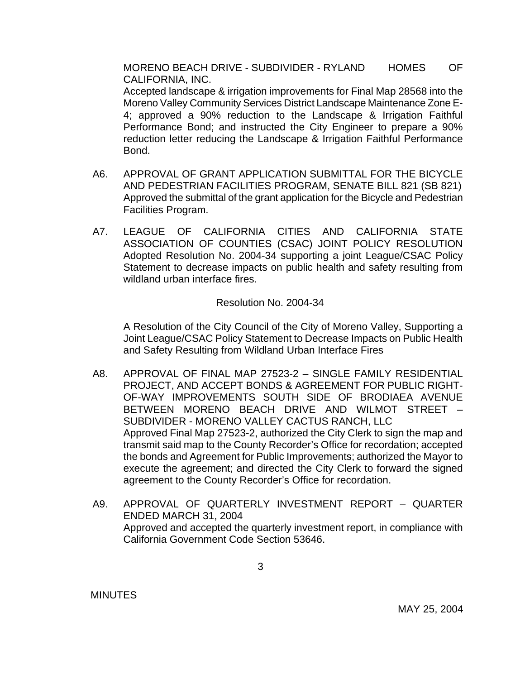MORENO BEACH DRIVE - SUBDIVIDER - RYLAND HOMES OF CALIFORNIA, INC.

 Accepted landscape & irrigation improvements for Final Map 28568 into the Moreno Valley Community Services District Landscape Maintenance Zone E-4; approved a 90% reduction to the Landscape & Irrigation Faithful Performance Bond; and instructed the City Engineer to prepare a 90% reduction letter reducing the Landscape & Irrigation Faithful Performance Bond.

- A6. APPROVAL OF GRANT APPLICATION SUBMITTAL FOR THE BICYCLE AND PEDESTRIAN FACILITIES PROGRAM, SENATE BILL 821 (SB 821) Approved the submittal of the grant application for the Bicycle and Pedestrian Facilities Program.
- A7. LEAGUE OF CALIFORNIA CITIES AND CALIFORNIA STATE ASSOCIATION OF COUNTIES (CSAC) JOINT POLICY RESOLUTION Adopted Resolution No. 2004-34 supporting a joint League/CSAC Policy Statement to decrease impacts on public health and safety resulting from wildland urban interface fires.

Resolution No. 2004-34

 A Resolution of the City Council of the City of Moreno Valley, Supporting a Joint League/CSAC Policy Statement to Decrease Impacts on Public Health and Safety Resulting from Wildland Urban Interface Fires

- A8. APPROVAL OF FINAL MAP 27523-2 SINGLE FAMILY RESIDENTIAL PROJECT, AND ACCEPT BONDS & AGREEMENT FOR PUBLIC RIGHT-OF-WAY IMPROVEMENTS SOUTH SIDE OF BRODIAEA AVENUE BETWEEN MORENO BEACH DRIVE AND WILMOT STREET – SUBDIVIDER - MORENO VALLEY CACTUS RANCH, LLC Approved Final Map 27523-2, authorized the City Clerk to sign the map and transmit said map to the County Recorder's Office for recordation; accepted the bonds and Agreement for Public Improvements; authorized the Mayor to execute the agreement; and directed the City Clerk to forward the signed agreement to the County Recorder's Office for recordation.
- A9. APPROVAL OF QUARTERLY INVESTMENT REPORT QUARTER ENDED MARCH 31, 2004 Approved and accepted the quarterly investment report, in compliance with California Government Code Section 53646.

**MINUTES**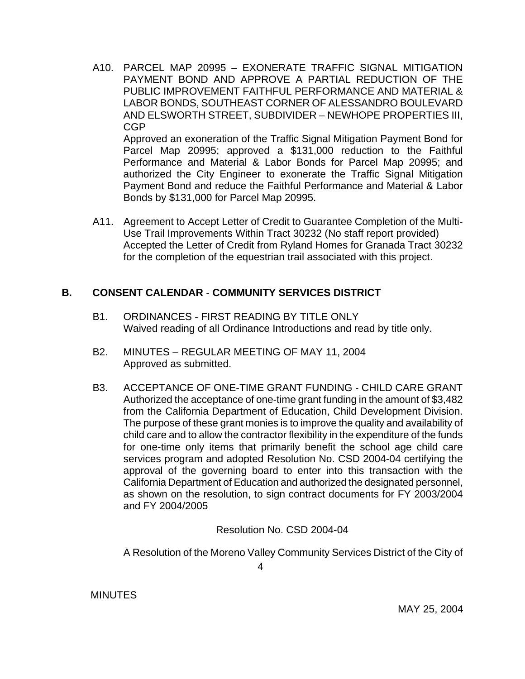A10. PARCEL MAP 20995 – EXONERATE TRAFFIC SIGNAL MITIGATION PAYMENT BOND AND APPROVE A PARTIAL REDUCTION OF THE PUBLIC IMPROVEMENT FAITHFUL PERFORMANCE AND MATERIAL & LABOR BONDS, SOUTHEAST CORNER OF ALESSANDRO BOULEVARD AND ELSWORTH STREET, SUBDIVIDER – NEWHOPE PROPERTIES III, CGP Approved an exoneration of the Traffic Signal Mitigation Payment Bond for Parcel Map 20995; approved a \$131,000 reduction to the Faithful Performance and Material & Labor Bonds for Parcel Map 20995; and

authorized the City Engineer to exonerate the Traffic Signal Mitigation Payment Bond and reduce the Faithful Performance and Material & Labor Bonds by \$131,000 for Parcel Map 20995.

A11. Agreement to Accept Letter of Credit to Guarantee Completion of the Multi-Use Trail Improvements Within Tract 30232 (No staff report provided) Accepted the Letter of Credit from Ryland Homes for Granada Tract 30232 for the completion of the equestrian trail associated with this project.

## **B. CONSENT CALENDAR** - **COMMUNITY SERVICES DISTRICT**

- B1. ORDINANCES FIRST READING BY TITLE ONLY Waived reading of all Ordinance Introductions and read by title only.
- B2. MINUTES REGULAR MEETING OF MAY 11, 2004 Approved as submitted.
- B3. ACCEPTANCE OF ONE-TIME GRANT FUNDING CHILD CARE GRANT Authorized the acceptance of one-time grant funding in the amount of \$3,482 from the California Department of Education, Child Development Division. The purpose of these grant monies is to improve the quality and availability of child care and to allow the contractor flexibility in the expenditure of the funds for one-time only items that primarily benefit the school age child care services program and adopted Resolution No. CSD 2004-04 certifying the approval of the governing board to enter into this transaction with the California Department of Education and authorized the designated personnel, as shown on the resolution, to sign contract documents for FY 2003/2004 and FY 2004/2005

Resolution No. CSD 2004-04

A Resolution of the Moreno Valley Community Services District of the City of

**MINUTES**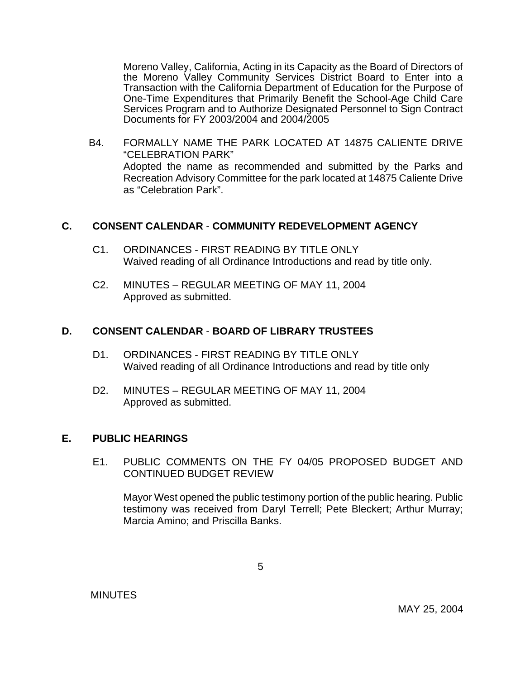Moreno Valley, California, Acting in its Capacity as the Board of Directors of the Moreno Valley Community Services District Board to Enter into a Transaction with the California Department of Education for the Purpose of One-Time Expenditures that Primarily Benefit the School-Age Child Care Services Program and to Authorize Designated Personnel to Sign Contract Documents for FY 2003/2004 and 2004/2005

B4. FORMALLY NAME THE PARK LOCATED AT 14875 CALIENTE DRIVE "CELEBRATION PARK" Adopted the name as recommended and submitted by the Parks and Recreation Advisory Committee for the park located at 14875 Caliente Drive as "Celebration Park".

#### **C. CONSENT CALENDAR** - **COMMUNITY REDEVELOPMENT AGENCY**

- C1. ORDINANCES FIRST READING BY TITLE ONLY Waived reading of all Ordinance Introductions and read by title only.
- C2. MINUTES REGULAR MEETING OF MAY 11, 2004 Approved as submitted.

#### **D. CONSENT CALENDAR** - **BOARD OF LIBRARY TRUSTEES**

- D1. ORDINANCES FIRST READING BY TITLE ONLY Waived reading of all Ordinance Introductions and read by title only
- D2. MINUTES REGULAR MEETING OF MAY 11, 2004 Approved as submitted.

#### **E. PUBLIC HEARINGS**

 E1. PUBLIC COMMENTS ON THE FY 04/05 PROPOSED BUDGET AND CONTINUED BUDGET REVIEW

 Mayor West opened the public testimony portion of the public hearing. Public testimony was received from Daryl Terrell; Pete Bleckert; Arthur Murray; Marcia Amino; and Priscilla Banks.

**MINUTES**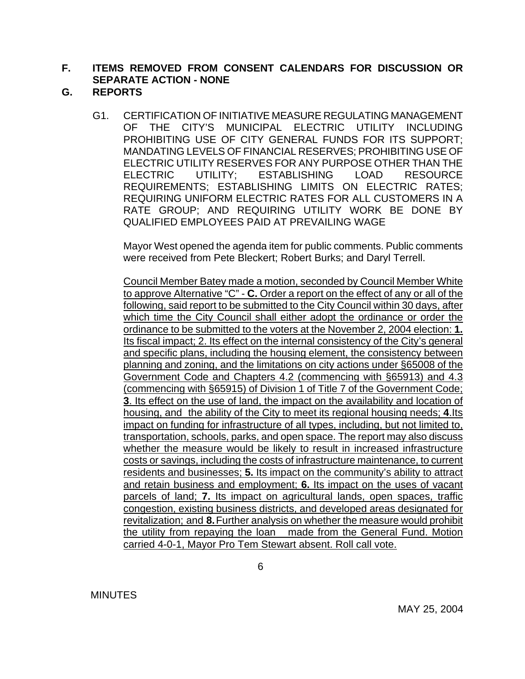### **F. ITEMS REMOVED FROM CONSENT CALENDARS FOR DISCUSSION OR SEPARATE ACTION - NONE**

- **G. REPORTS**
	- G1. CERTIFICATION OF INITIATIVE MEASURE REGULATING MANAGEMENT OF THE CITY'S MUNICIPAL ELECTRIC UTILITY INCLUDING PROHIBITING USE OF CITY GENERAL FUNDS FOR ITS SUPPORT; MANDATING LEVELS OF FINANCIAL RESERVES; PROHIBITING USE OF ELECTRIC UTILITY RESERVES FOR ANY PURPOSE OTHER THAN THE ELECTRIC UTILITY; ESTABLISHING LOAD RESOURCE REQUIREMENTS; ESTABLISHING LIMITS ON ELECTRIC RATES; REQUIRING UNIFORM ELECTRIC RATES FOR ALL CUSTOMERS IN A RATE GROUP; AND REQUIRING UTILITY WORK BE DONE BY QUALIFIED EMPLOYEES PAID AT PREVAILING WAGE

Mayor West opened the agenda item for public comments. Public comments were received from Pete Bleckert; Robert Burks; and Daryl Terrell.

 Council Member Batey made a motion, seconded by Council Member White to approve Alternative "C" - **C.** Order a report on the effect of any or all of the following, said report to be submitted to the City Council within 30 days, after which time the City Council shall either adopt the ordinance or order the ordinance to be submitted to the voters at the November 2, 2004 election: **1.** Its fiscal impact; 2. Its effect on the internal consistency of the City's general and specific plans, including the housing element, the consistency between planning and zoning, and the limitations on city actions under §65008 of the Government Code and Chapters 4.2 (commencing with §65913) and 4.3 (commencing with §65915) of Division 1 of Title 7 of the Government Code; **3**. Its effect on the use of land, the impact on the availability and location of housing, and the ability of the City to meet its regional housing needs; **4**.Its impact on funding for infrastructure of all types, including, but not limited to, transportation, schools, parks, and open space. The report may also discuss whether the measure would be likely to result in increased infrastructure costs or savings, including the costs of infrastructure maintenance, to current residents and businesses; **5.** Its impact on the community's ability to attract and retain business and employment; **6.** Its impact on the uses of vacant parcels of land; **7.** Its impact on agricultural lands, open spaces, traffic congestion, existing business districts, and developed areas designated for revitalization; and **8.** Further analysis on whether the measure would prohibit the utility from repaying the loan made from the General Fund. Motion carried 4-0-1, Mayor Pro Tem Stewart absent. Roll call vote.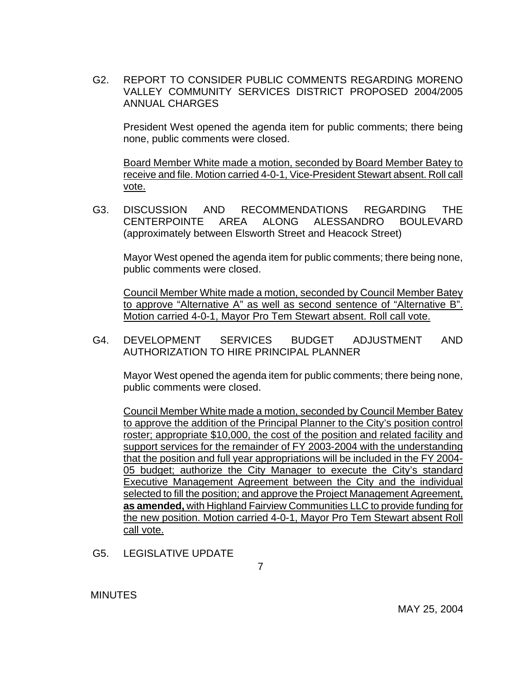G2. REPORT TO CONSIDER PUBLIC COMMENTS REGARDING MORENO VALLEY COMMUNITY SERVICES DISTRICT PROPOSED 2004/2005 ANNUAL CHARGES

 President West opened the agenda item for public comments; there being none, public comments were closed.

 Board Member White made a motion, seconded by Board Member Batey to receive and file. Motion carried 4-0-1, Vice-President Stewart absent. Roll call vote.

G3. DISCUSSION AND RECOMMENDATIONS REGARDING THE CENTERPOINTE AREA ALONG ALESSANDRO BOULEVARD (approximately between Elsworth Street and Heacock Street)

 Mayor West opened the agenda item for public comments; there being none, public comments were closed.

 Council Member White made a motion, seconded by Council Member Batey to approve "Alternative A" as well as second sentence of "Alternative B". Motion carried 4-0-1, Mayor Pro Tem Stewart absent. Roll call vote.

 G4. DEVELOPMENT SERVICES BUDGET ADJUSTMENT AND AUTHORIZATION TO HIRE PRINCIPAL PLANNER

 Mayor West opened the agenda item for public comments; there being none, public comments were closed.

 Council Member White made a motion, seconded by Council Member Batey to approve the addition of the Principal Planner to the City's position control roster; appropriate \$10,000, the cost of the position and related facility and support services for the remainder of FY 2003-2004 with the understanding that the position and full year appropriations will be included in the FY 2004- 05 budget; authorize the City Manager to execute the City's standard Executive Management Agreement between the City and the individual selected to fill the position; and approve the Project Management Agreement, **as amended,** with Highland Fairview Communities LLC to provide funding for the new position. Motion carried 4-0-1, Mayor Pro Tem Stewart absent Roll call vote.

G5. LEGISLATIVE UPDATE

7

**MINUTES**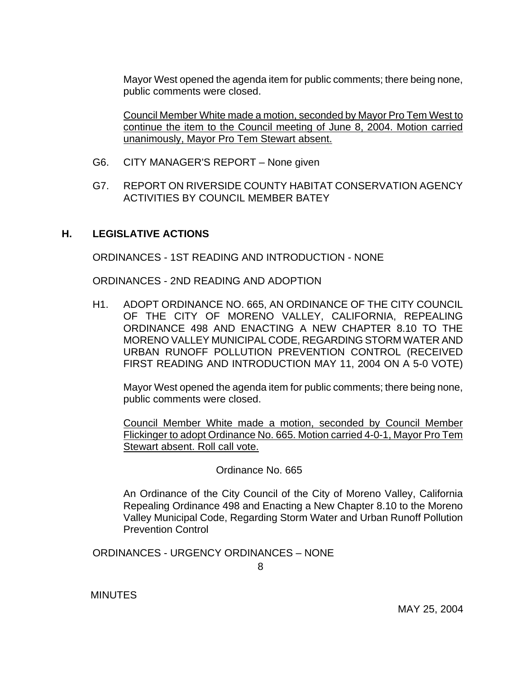Mayor West opened the agenda item for public comments; there being none, public comments were closed.

Council Member White made a motion, seconded by Mayor Pro Tem West to continue the item to the Council meeting of June 8, 2004. Motion carried unanimously, Mayor Pro Tem Stewart absent.

- G6. CITY MANAGER'S REPORT None given
- G7. REPORT ON RIVERSIDE COUNTY HABITAT CONSERVATION AGENCY ACTIVITIES BY COUNCIL MEMBER BATEY

#### **H. LEGISLATIVE ACTIONS**

ORDINANCES - 1ST READING AND INTRODUCTION - NONE

ORDINANCES - 2ND READING AND ADOPTION

H1. ADOPT ORDINANCE NO. 665, AN ORDINANCE OF THE CITY COUNCIL OF THE CITY OF MORENO VALLEY, CALIFORNIA, REPEALING ORDINANCE 498 AND ENACTING A NEW CHAPTER 8.10 TO THE MORENO VALLEY MUNICIPAL CODE, REGARDING STORM WATER AND URBAN RUNOFF POLLUTION PREVENTION CONTROL (RECEIVED FIRST READING AND INTRODUCTION MAY 11, 2004 ON A 5-0 VOTE)

 Mayor West opened the agenda item for public comments; there being none, public comments were closed.

 Council Member White made a motion, seconded by Council Member Flickinger to adopt Ordinance No. 665. Motion carried 4-0-1, Mayor Pro Tem Stewart absent. Roll call vote.

Ordinance No. 665

 An Ordinance of the City Council of the City of Moreno Valley, California Repealing Ordinance 498 and Enacting a New Chapter 8.10 to the Moreno Valley Municipal Code, Regarding Storm Water and Urban Runoff Pollution Prevention Control

ORDINANCES - URGENCY ORDINANCES – NONE

8

**MINUTES**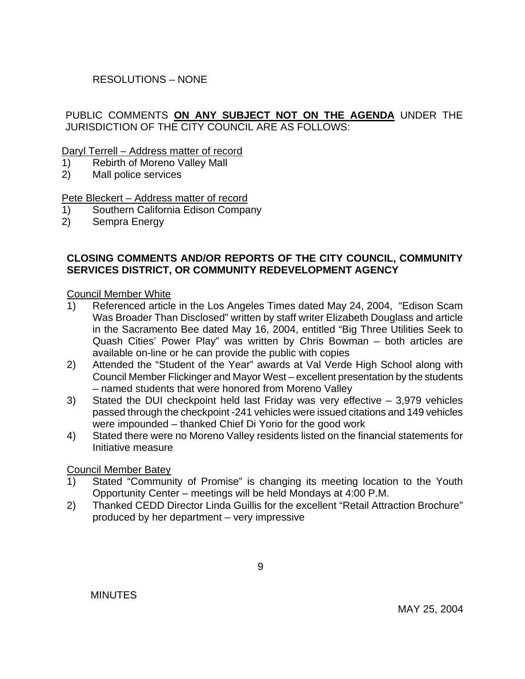## RESOLUTIONS – NONE

## PUBLIC COMMENTS **ON ANY SUBJECT NOT ON THE AGENDA** UNDER THE JURISDICTION OF THE CITY COUNCIL ARE AS FOLLOWS:

#### Daryl Terrell – Address matter of record

- 1) Rebirth of Moreno Valley Mall
- 2) Mall police services

#### Pete Bleckert – Address matter of record

- 1) Southern California Edison Company
- 2) Sempra Energy

### **CLOSING COMMENTS AND/OR REPORTS OF THE CITY COUNCIL, COMMUNITY SERVICES DISTRICT, OR COMMUNITY REDEVELOPMENT AGENCY**

#### Council Member White

- 1) Referenced article in the Los Angeles Times dated May 24, 2004, "Edison Scam Was Broader Than Disclosed" written by staff writer Elizabeth Douglass and article in the Sacramento Bee dated May 16, 2004, entitled "Big Three Utilities Seek to Quash Cities' Power Play" was written by Chris Bowman – both articles are available on-line or he can provide the public with copies
- 2) Attended the "Student of the Year" awards at Val Verde High School along with Council Member Flickinger and Mayor West – excellent presentation by the students – named students that were honored from Moreno Valley
- 3) Stated the DUI checkpoint held last Friday was very effective 3,979 vehicles passed through the checkpoint -241 vehicles were issued citations and 149 vehicles were impounded – thanked Chief Di Yorio for the good work
- 4) Stated there were no Moreno Valley residents listed on the financial statements for Initiative measure

#### Council Member Batey

- 1) Stated "Community of Promise" is changing its meeting location to the Youth Opportunity Center – meetings will be held Mondays at 4:00 P.M.
- 2) Thanked CEDD Director Linda Guillis for the excellent "Retail Attraction Brochure" produced by her department – very impressive

MINUTES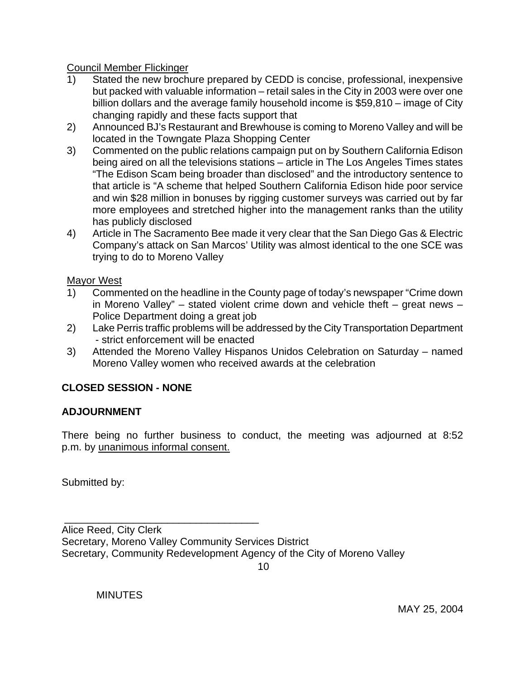Council Member Flickinger

- 1) Stated the new brochure prepared by CEDD is concise, professional, inexpensive but packed with valuable information – retail sales in the City in 2003 were over one billion dollars and the average family household income is \$59,810 – image of City changing rapidly and these facts support that
- 2) Announced BJ's Restaurant and Brewhouse is coming to Moreno Valley and will be located in the Towngate Plaza Shopping Center
- 3) Commented on the public relations campaign put on by Southern California Edison being aired on all the televisions stations – article in The Los Angeles Times states "The Edison Scam being broader than disclosed" and the introductory sentence to that article is "A scheme that helped Southern California Edison hide poor service and win \$28 million in bonuses by rigging customer surveys was carried out by far more employees and stretched higher into the management ranks than the utility has publicly disclosed
- 4) Article in The Sacramento Bee made it very clear that the San Diego Gas & Electric Company's attack on San Marcos' Utility was almost identical to the one SCE was trying to do to Moreno Valley

Mayor West

- 1) Commented on the headline in the County page of today's newspaper "Crime down in Moreno Valley" – stated violent crime down and vehicle theft – great news – Police Department doing a great job
- 2) Lake Perris traffic problems will be addressed by the City Transportation Department - strict enforcement will be enacted
- 3) Attended the Moreno Valley Hispanos Unidos Celebration on Saturday named Moreno Valley women who received awards at the celebration

# **CLOSED SESSION - NONE**

## **ADJOURNMENT**

There being no further business to conduct, the meeting was adjourned at 8:52 p.m. by unanimous informal consent.

Submitted by:

Alice Reed, City Clerk Secretary, Moreno Valley Community Services District Secretary, Community Redevelopment Agency of the City of Moreno Valley

<u>10</u>

**MINUTES** 

\_\_\_\_\_\_\_\_\_\_\_\_\_\_\_\_\_\_\_\_\_\_\_\_\_\_\_\_\_\_\_\_\_\_